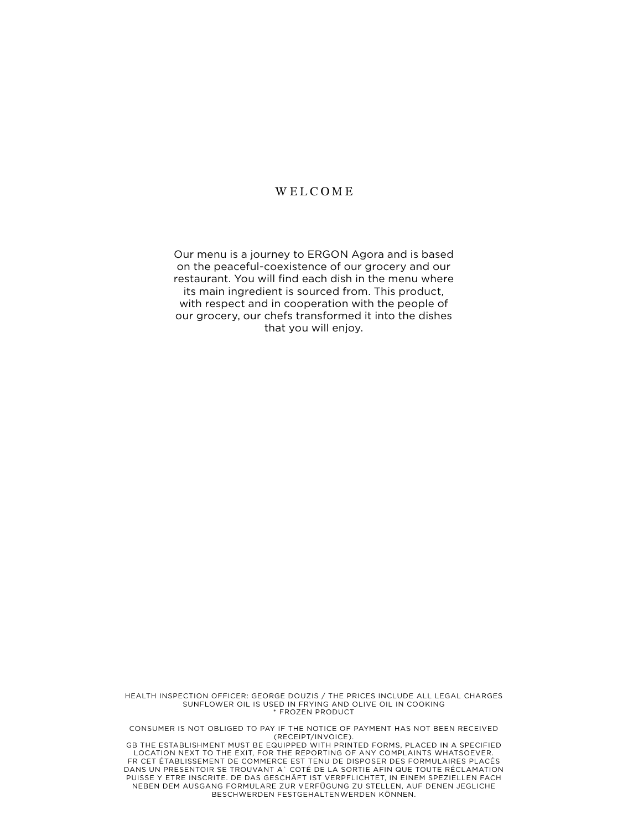#### WELCOME

Our menu is a journey to ERGON Agora and is based on the peaceful-coexistence of our grocery and our restaurant. You will find each dish in the menu where its main ingredient is sourced from. This product, with respect and in cooperation with the people of our grocery, our chefs transformed it into the dishes that you will enjoy.

HEALTH INSPECTION OFFICER: GEORGE DOUZIS / THE PRICES INCLUDE ALL LEGAL CHARGES SUNFLOWER OIL IS USED IN FRYING AND OLIVE OIL IN COOKING \* FROZEN PRODUCT

CONSUMER IS ΝΟΤ OBLIGED TO PAY IF THE NOTICE OF PAYMENT HAS ΝΟΤ BEEN RECEIVED (RECEIPT/INVOICE).

GB THE ESTABLISHMENT MUST BE EQUIPPED WITH PRINTED FORMS, PLACED IN A SPECIFIED LOCATION NEXT TO THE EXIT, FOR THE REPORTING OF ANY COMPLAINTS WHATSOEVER. FR CET ÉTABLISSEMENT DE COMMERCE EST TENU DE DISPOSER DES FORMULAIRES PLACÉS DANS UN PRESENTOIR SE TROUVANT A` COTÉ DE LA SORTIE AFIN QUE TOUTE RÉCLAMATION PUISSE Y ETRE INSCRITE. DE DAS GESCHÄFT IST VERPFLICHTET, IN EINEM SPEZIELLEN FACH NEBEN DEM AUSGANG FORMULARE ZUR VERFÜGUNG ZU STELLEN, AUF DENEN JEGLICHE BESCHWERDEN FESTGEHALTENWERDEN KÖNNEN.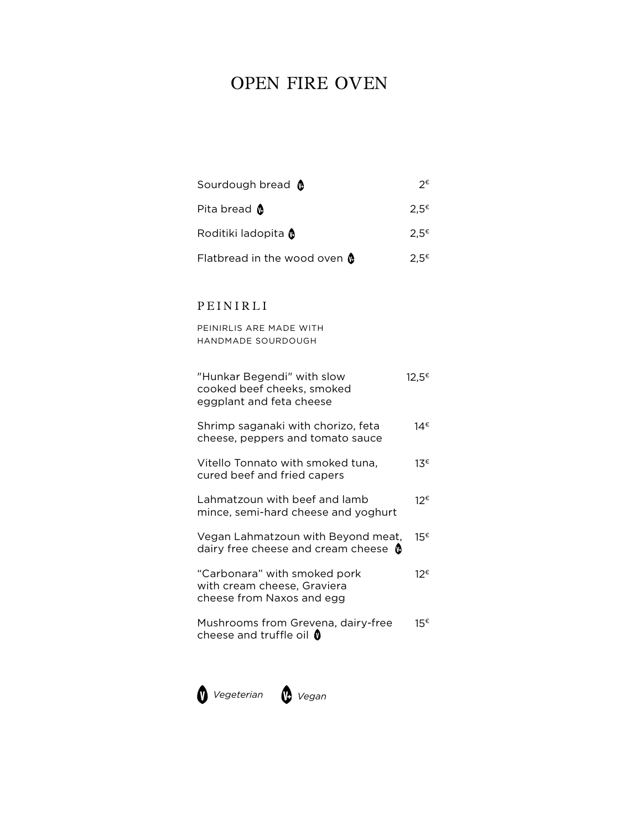# OPEN FIRE OVEN

| Sourdough bread @            | つ€               |
|------------------------------|------------------|
| Pita bread <b>@</b>          | $2.5^ε$          |
| Roditiki ladopita @          | $2.5^{\epsilon}$ |
| Flatbread in the wood oven @ | $2.5^{\epsilon}$ |

## PEINIRLI

PEINIRLIS ARE MADE WITH HANDMADE SOURDOUGH

| "Hunkar Begendi" with slow<br>cooked beef cheeks, smoked<br>eggplant and feta cheese     | 12.5€ |
|------------------------------------------------------------------------------------------|-------|
| Shrimp saganaki with chorizo, feta<br>cheese, peppers and tomato sauce                   | 14€   |
| Vitello Tonnato with smoked tuna.<br>cured beef and fried capers                         | 13€   |
| Lahmatzoun with beef and lamb<br>mince, semi-hard cheese and yoghurt                     | 12€   |
| Vegan Lahmatzoun with Beyond meat,<br>dairy free cheese and cream cheese $\, \bullet \,$ | 15€   |
| "Carbonara" with smoked pork<br>with cream cheese, Graviera<br>cheese from Naxos and egg | 12€   |
| Mushrooms from Grevena, dairy-free<br>cheese and truffle oil $\mathbf 0$                 | 15€   |

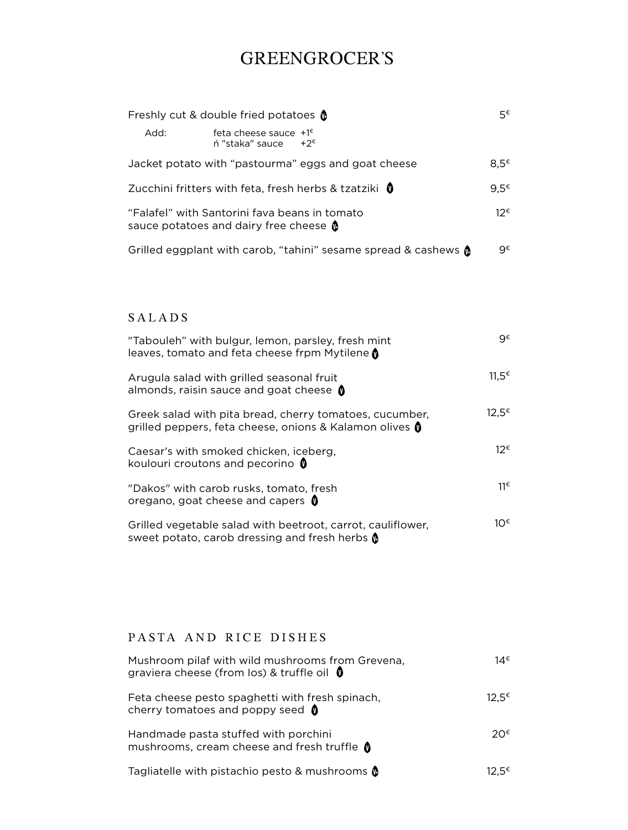# GREENGROCER'S

| Freshly cut & double fried potatoes (                                                          |                                                            |      |
|------------------------------------------------------------------------------------------------|------------------------------------------------------------|------|
| Add:                                                                                           | feta cheese sauce $+1^{\epsilon}$<br>$n$ "staka" sauce +2€ |      |
|                                                                                                | Jacket potato with "pastourma" eggs and goat cheese        | 8.5€ |
| Zucchini fritters with feta, fresh herbs & tzatziki 0                                          |                                                            |      |
| "Falafel" with Santorini fava beans in tomato<br>sauce potatoes and dairy free cheese <b>0</b> |                                                            |      |
| Grilled eggplant with carob, "tahini" sesame spread & cashews $\Omega$                         |                                                            |      |

## SALADS

| "Tabouleh" with bulgur, lemon, parsley, fresh mint<br>leaves, tomato and feta cheese frpm Mytilene <b>M</b>        | q€                |
|--------------------------------------------------------------------------------------------------------------------|-------------------|
| Arugula salad with grilled seasonal fruit<br>almonds, raisin sauce and goat cheese $\bullet$                       | $11.5^{\epsilon}$ |
| Greek salad with pita bread, cherry tomatoes, cucumber,<br>grilled peppers, feta cheese, onions & Kalamon olives 0 | 12,5€             |
| Caesar's with smoked chicken, iceberg,<br>koulouri croutons and pecorino $\mathbf 0$                               | 12€               |
| "Dakos" with carob rusks, tomato, fresh<br>oregano, goat cheese and capers $\mathbf 0$                             | 11€               |
| Grilled vegetable salad with beetroot, carrot, cauliflower,<br>sweet potato, carob dressing and fresh herbs @      | 1ດ€               |

## PASTA AND RICE DISHES

| Mushroom pilaf with wild mushrooms from Grevena,<br>graviera cheese (from los) & truffle oil $\mathbf 0$ | 14€               |
|----------------------------------------------------------------------------------------------------------|-------------------|
| Feta cheese pesto spaghetti with fresh spinach,<br>cherry tomatoes and poppy seed $\bullet$              | 12.5 <sup>€</sup> |
| Handmade pasta stuffed with porchini<br>mushrooms, cream cheese and fresh truffle $\bigcirc$             | 20€.              |
| Tagliatelle with pistachio pesto & mushrooms (                                                           | 12.5€             |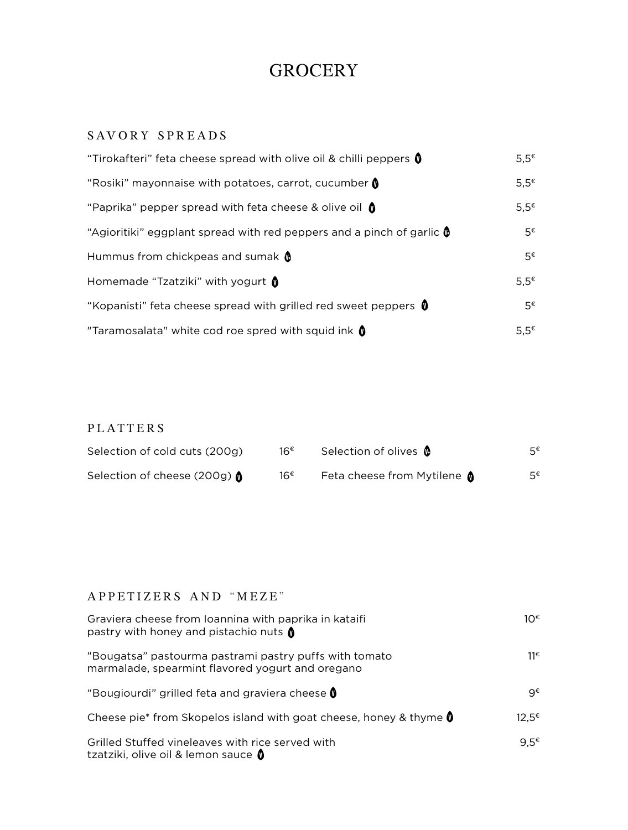## **GROCERY**

## SAVORY SPREADS

| "Tirokafteri" feta cheese spread with olive oil & chilli peppers $\mathbf 0$ | $5.5^{\epsilon}$ |
|------------------------------------------------------------------------------|------------------|
| "Rosiki" mayonnaise with potatoes, carrot, cucumber $\mathbf 0$              | 5,5€             |
| "Paprika" pepper spread with feta cheese & olive oil $\bullet$               | $5.5^{\epsilon}$ |
| "Agioritiki" eggplant spread with red peppers and a pinch of garlic $\phi$   | 5€               |
| Hummus from chickpeas and sumak $\mathbf 0$                                  | $5^{\epsilon}$   |
| Homemade "Tzatziki" with yogurt 0                                            | $5.5^{\epsilon}$ |
| "Kopanisti" feta cheese spread with grilled red sweet peppers $\mathbf 0$    | $5^{\epsilon}$   |
| "Taramosalata" white cod roe spred with squid ink $\mathbf 0$                | $5.5^{\epsilon}$ |

## PLATTERS

| Selection of cold cuts (200g)         | 16€ | Selection of olives <b>O</b> | 5€ |
|---------------------------------------|-----|------------------------------|----|
| Selection of cheese (200g) $\bigcirc$ | 16€ | Feta cheese from Mytilene 0  | 5€ |

## APPETIZERS AND "MEZE"

| Graviera cheese from Ioannina with paprika in kataifi<br>pastry with honey and pistachio nuts (            | 1ດ€               |
|------------------------------------------------------------------------------------------------------------|-------------------|
| "Bougatsa" pastourma pastrami pastry puffs with tomato<br>marmalade, spearmint flavored yogurt and oregano | 11€               |
| "Bougiourdi" grilled feta and graviera cheese 0                                                            | q€                |
| Cheese pie* from Skopelos island with goat cheese, honey & thyme $\mathbf 0$                               | 12.5 <sup>€</sup> |
| Grilled Stuffed vineleaves with rice served with<br>tzatziki, olive oil & lemon sauce 0                    | $9.5^€$           |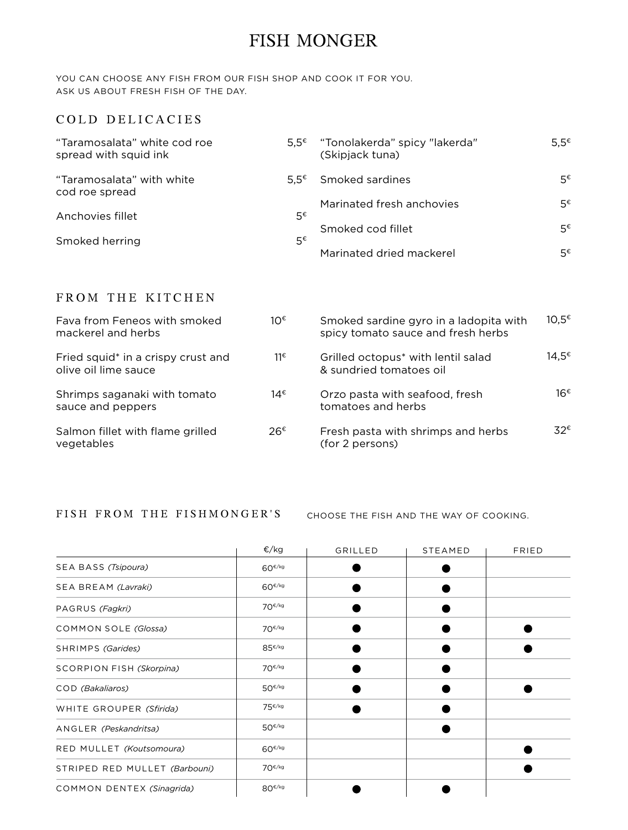## FISH MONGER

YOU CAN CHOOSE ANY FISH FROM OUR FISH SHOP AND COOK IT FOR YOU. ASK US ABOUT FRESH FISH OF THE DAY.

#### COLD DELICACIES

| "Taramosalata" white cod roe<br>spread with squid ink | 5.5€ | "Tonolakerda" spicy "lakerda"<br>(Skipjack tuna) | $5.5^{\epsilon}$ |
|-------------------------------------------------------|------|--------------------------------------------------|------------------|
| "Taramosalata" with white<br>cod roe spread           | 5.5€ | Smoked sardines                                  | 5€               |
|                                                       |      | Marinated fresh anchovies                        | 5€               |
| Anchovies fillet                                      | 5€   | Smoked cod fillet                                | 5€               |
| Smoked herring                                        | 5€   |                                                  |                  |
|                                                       |      | Marinated dried mackerel                         | 5€               |

## FROM THE KITCHEN

| Fava from Feneos with smoked<br>mackerel and herbs         | 10€ | Smoked sardine gyro in a ladopita with<br>spicy tomato sauce and fresh herbs | $10.5^ε$          |
|------------------------------------------------------------|-----|------------------------------------------------------------------------------|-------------------|
| Fried squid* in a crispy crust and<br>olive oil lime sauce | 11€ | Grilled octopus <sup>*</sup> with lentil salad<br>& sundried tomatoes oil    | 14.5 <sup>€</sup> |
| Shrimps saganaki with tomato<br>sauce and peppers          | 14€ | Orzo pasta with seafood, fresh<br>tomatoes and herbs                         | 16€               |
| Salmon fillet with flame grilled<br>vegetables             | 26€ | Fresh pasta with shrimps and herbs<br>(for 2 persons)                        | 32€.              |

FISH FROM THE FISHMONGER'S choose the fish and the way of cooking.

|                                 | €/kg               | GRILLED | STEAMED | FRIED |
|---------------------------------|--------------------|---------|---------|-------|
| SEA BASS (Tsipoura)             | $60^{\epsilon/kg}$ |         |         |       |
| SEA BREAM (Lavraki)             | $60^{\epsilon/kg}$ |         |         |       |
| PAGRUS (Fagkri)                 | $70^{\epsilon/kg}$ |         |         |       |
| COMMON SOLE (Glossa)            | $70^{\epsilon/kg}$ |         |         |       |
| SHRIMPS (Garides)               | $85^{\epsilon/kg}$ |         |         |       |
| <b>SCORPION FISH (Skorpina)</b> | $70^{\epsilon/kg}$ |         |         |       |
| COD (Bakaliaros)                | $50^{6/kg}$        |         |         |       |
| WHITE GROUPER (Sfirida)         | $75^{\epsilon/kg}$ |         |         |       |
| ANGLER (Peskandritsa)           | $50^{\epsilon/kg}$ |         |         |       |
| RED MULLET (Koutsomoura)        | $60^{\epsilon/kg}$ |         |         |       |
| STRIPED RED MULLET (Barbouni)   | $70^{\epsilon/kg}$ |         |         |       |
| COMMON DENTEX (Sinagrida)       | $80^{\epsilon/kg}$ |         |         |       |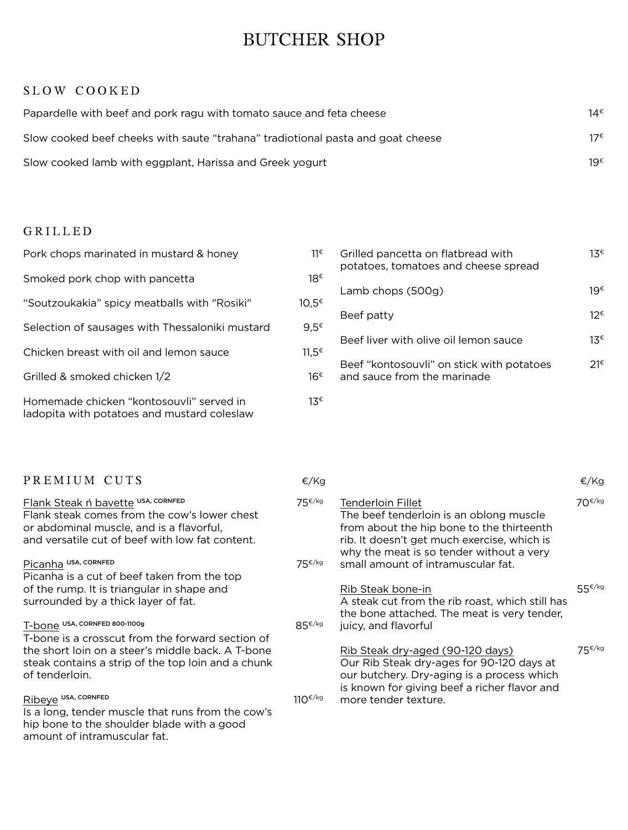# BUTCHER SHOP

#### SLOW COOKED

| Papardelle with beef and pork ragu with tomato sauce and feta cheese            | 14€ |
|---------------------------------------------------------------------------------|-----|
| Slow cooked beef cheeks with saute "trahana" tradiotional pasta and goat cheese | 17€ |
| Slow cooked lamb with eggplant, Harissa and Greek yogurt                        | 19€ |

## GRILLED

| Pork chops marinated in mustard & honey                                                 | 11€               | Grilled pancetta on flatbread with<br>potatoes, tomatoes and cheese spread | $1.3^{\epsilon}$ |
|-----------------------------------------------------------------------------------------|-------------------|----------------------------------------------------------------------------|------------------|
| Smoked pork chop with pancetta                                                          | 18€               |                                                                            |                  |
| "Soutzoukakia" spicy meatballs with "Rosiki"                                            | $10.5^ε$          | Lamb chops (500g)                                                          | 19€              |
| Selection of sausages with Thessaloniki mustard                                         | 9.5 $^{\epsilon}$ | Beef patty                                                                 | 12€              |
|                                                                                         |                   | Beef liver with olive oil lemon sauce                                      | $13^{\epsilon}$  |
| Chicken breast with oil and lemon sauce                                                 | $11.5^{\epsilon}$ | Beef "kontosouvli" on stick with potatoes                                  | 21€              |
| Grilled & smoked chicken 1/2                                                            | 16€               | and sauce from the marinade                                                |                  |
| Homemade chicken "kontosouvli" served in<br>ladopita with potatoes and mustard coleslaw | 13€               |                                                                            |                  |

| PREMIUM CUTS                                                                                                                                                                      | €/Kg                  |                                                                                                                                                                                                      | €/Kg   |
|-----------------------------------------------------------------------------------------------------------------------------------------------------------------------------------|-----------------------|------------------------------------------------------------------------------------------------------------------------------------------------------------------------------------------------------|--------|
| Flank Steak ń bavette USA, CORNFED<br>Flank steak comes from the cow's lower chest<br>or abdominal muscle, and is a flavorful,<br>and versatile cut of beef with low fat content. | 75 <sup>€/kg</sup>    | Tenderloin Fillet<br>The beef tenderloin is an oblong muscle<br>from about the hip bone to the thirteenth<br>rib. It doesn't get much exercise, which is<br>why the meat is so tender without a very | 70€/kg |
| Picanha USA, CORNFED                                                                                                                                                              | 75€/kg                | small amount of intramuscular fat.                                                                                                                                                                   |        |
| Picanha is a cut of beef taken from the top                                                                                                                                       |                       |                                                                                                                                                                                                      |        |
| of the rump. It is triangular in shape and                                                                                                                                        |                       | Rib Steak bone-in                                                                                                                                                                                    | 55€/kg |
| surrounded by a thick layer of fat.                                                                                                                                               |                       | A steak cut from the rib roast, which still has<br>the bone attached. The meat is very tender,                                                                                                       |        |
| T-bone USA, CORNFED 800-1100g                                                                                                                                                     | 85€/kg                | juicy, and flavorful                                                                                                                                                                                 |        |
| T-bone is a crosscut from the forward section of                                                                                                                                  |                       |                                                                                                                                                                                                      |        |
| the short loin on a steer's middle back. A T-bone                                                                                                                                 |                       | Rib Steak dry-aged (90-120 days)                                                                                                                                                                     | 75€/kg |
| steak contains a strip of the top loin and a chunk                                                                                                                                |                       | Our Rib Steak dry-ages for 90-120 days at                                                                                                                                                            |        |
| of tenderloin.                                                                                                                                                                    |                       | our butchery. Dry-aging is a process which                                                                                                                                                           |        |
| Ribeye USA, CORNFED                                                                                                                                                               | 110 $\varepsilon$ /kg | is known for giving beef a richer flavor and<br>more tender texture.                                                                                                                                 |        |
| Is a long, tender muscle that runs from the cow's                                                                                                                                 |                       |                                                                                                                                                                                                      |        |
| hip bone to the shoulder blade with a good                                                                                                                                        |                       |                                                                                                                                                                                                      |        |
| amount of intramuscular fat.                                                                                                                                                      |                       |                                                                                                                                                                                                      |        |